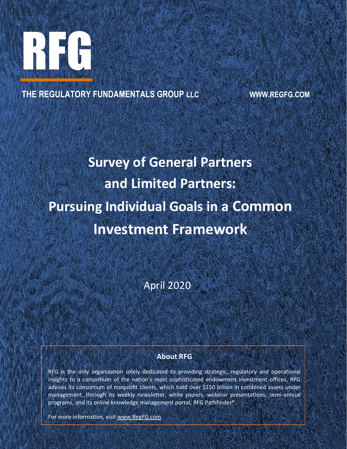

**THE REGULATORY FUNDAMENTALS GROUP LLC WWW.REGFG.COM**

# **Survey of General Partners and Limited Partners: Pursuing Individual Goals in a Common Investment Framework**

April 2020

# **About RFG**

 RFG is the only organization solely dedicated to providing strategic, regulatory and operational advises its consortium of nonprofit clients, which noid over \$150 billion in combined assets under<br>management, through its weekly newsletter, white papers, webinar presentations, semi-annual insights to a consortium of the nation's most sophisticated endowment investment offices. RFG advises its consortium of nonprofit clients, which hold over \$150 billion in combined assets under programs, and its online knowledge management portal, RFG Pathfinder®.

For more information, visit [www.RegFG.com.](http://www.regfg.com/)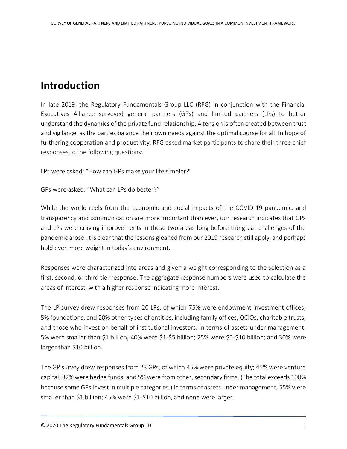# **Introduction**

In late 2019, the Regulatory Fundamentals Group LLC (RFG) in conjunction with the Financial Executives Alliance surveyed general partners (GPs) and limited partners (LPs) to better understand the dynamics of the private fund relationship. A tension is often created between trust and vigilance, as the parties balance their own needs against the optimal course for all. In hope of furthering cooperation and productivity, RFG asked market participants to share their three chief responses to the following questions:

LPs were asked: "How can GPs make your life simpler?"

GPs were asked: "What can LPs do better?"

While the world reels from the economic and social impacts of the COVID-19 pandemic, and transparency and communication are more important than ever, our research indicates that GPs and LPs were craving improvements in these two areas long before the great challenges of the pandemic arose. It is clear that the lessons gleaned from our 2019 research still apply, and perhaps hold even more weight in today's environment.

Responses were characterized into areas and given a weight corresponding to the selection as a first, second, or third tier response. The aggregate response numbers were used to calculate the areas of interest, with a higher response indicating more interest.

The LP survey drew responses from 20 LPs, of which 75% were endowment investment offices; 5% foundations; and 20% other types of entities, including family offices, OCIOs, charitable trusts, and those who invest on behalf of institutional investors. In terms of assets under management, 5% were smaller than \$1 billion; 40% were \$1-\$5 billion; 25% were \$5-\$10 billion; and 30% were larger than \$10 billion.

The GP survey drew responses from 23 GPs, of which 45% were private equity; 45% were venture capital; 32% were hedge funds; and 5% were from other, secondary firms. (The total exceeds 100% because some GPs invest in multiple categories.) In terms of assets under management, 55% were smaller than \$1 billion; 45% were \$1-\$10 billion, and none were larger.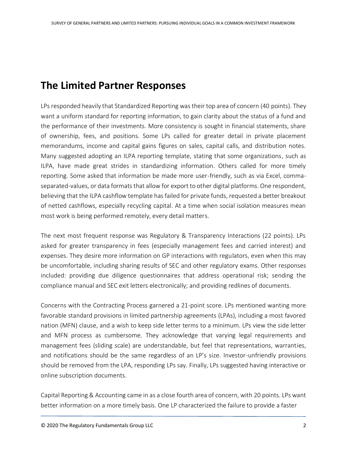# **The Limited Partner Responses**

LPs responded heavily that Standardized Reporting was their top area of concern (40 points). They want a uniform standard for reporting information, to gain clarity about the status of a fund and the performance of their investments. More consistency is sought in financial statements, share of ownership, fees, and positions. Some LPs called for greater detail in private placement memorandums, income and capital gains figures on sales, capital calls, and distribution notes. Many suggested adopting an ILPA reporting template, stating that some organizations, such as ILPA, have made great strides in standardizing information. Others called for more timely reporting. Some asked that information be made more user-friendly, such as via Excel, commaseparated-values, or data formats that allow for export to other digital platforms. One respondent, believing that the ILPA cashflow template has failed for private funds, requested a better breakout of netted cashflows, especially recycling capital. At a time when social isolation measures mean most work is being performed remotely, every detail matters.

The next most frequent response was Regulatory & Transparency Interactions (22 points). LPs asked for greater transparency in fees (especially management fees and carried interest) and expenses. They desire more information on GP interactions with regulators, even when this may be uncomfortable, including sharing results of SEC and other regulatory exams. Other responses included: providing due diligence questionnaires that address operational risk; sending the compliance manual and SEC exit letters electronically; and providing redlines of documents.

Concerns with the Contracting Process garnered a 21-point score. LPs mentioned wanting more favorable standard provisions in limited partnership agreements (LPAs), including a most favored nation (MFN) clause, and a wish to keep side letter terms to a minimum. LPs view the side letter and MFN process as cumbersome. They acknowledge that varying legal requirements and management fees (sliding scale) are understandable, but feel that representations, warranties, and notifications should be the same regardless of an LP's size. Investor-unfriendly provisions should be removed from the LPA, responding LPs say. Finally, LPs suggested having interactive or online subscription documents.

Capital Reporting & Accounting came in as a close fourth area of concern, with 20 points. LPs want better information on a more timely basis. One LP characterized the failure to provide a faster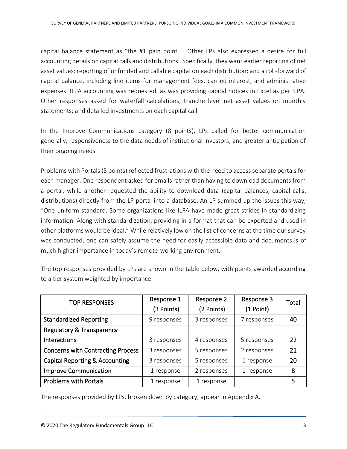capital balance statement as "the #1 pain point." Other LPs also expressed a desire for full accounting details on capital calls and distributions. Specifically, they want earlier reporting of net asset values; reporting of unfunded and callable capital on each distribution; and a roll-forward of capital balance, including line items for management fees, carried interest, and administrative expenses. ILPA accounting was requested, as was providing capital notices in Excel as per ILPA. Other responses asked for waterfall calculations; tranche level net asset values on monthly statements; and detailed investments on each capital call.

In the Improve Communications category (8 points), LPs called for better communication generally, responsiveness to the data needs of institutional investors, and greater anticipation of their ongoing needs.

Problems with Portals (5 points) reflected frustrations with the need to access separate portals for each manager. One respondent asked for emails rather than having to download documents from a portal, while another requested the ability to download data (capital balances, capital calls, distributions) directly from the LP portal into a database. An LP summed up the issues this way, "One uniform standard. Some organizations like ILPA have made great strides in standardizing information. Along with standardization, providing in a format that can be exported and used in other platforms would be ideal." While relatively low on the list of concerns at the time our survey was conducted, one can safely assume the need for easily accessible data and documents is of much higher importance in today's remote-working environment.

| <b>TOP RESPONSES</b>                      | Response 1<br>(3 Points) | Response 2<br>(2 Points) | Response 3<br>(1 Point) | Total |
|-------------------------------------------|--------------------------|--------------------------|-------------------------|-------|
| <b>Standardized Reporting</b>             | 9 responses              | 3 responses              | 7 responses             | 40    |
| <b>Regulatory &amp; Transparency</b>      |                          |                          |                         |       |
| Interactions                              | 3 responses              | 4 responses              | 5 responses             | 22    |
| <b>Concerns with Contracting Process</b>  | 3 responses              | 5 responses              | 2 responses             | 21    |
| <b>Capital Reporting &amp; Accounting</b> | 3 responses              | 5 responses              | 1 response              | 20    |
| <b>Improve Communication</b>              | 1 response               | 2 responses              | 1 response              | 8     |
| <b>Problems with Portals</b>              | 1 response               | 1 response               |                         |       |

The top responses provided by LPs are shown in the table below, with points awarded according to a tier system weighted by importance.

The responses provided by LPs, broken down by category, appear in Appendix A.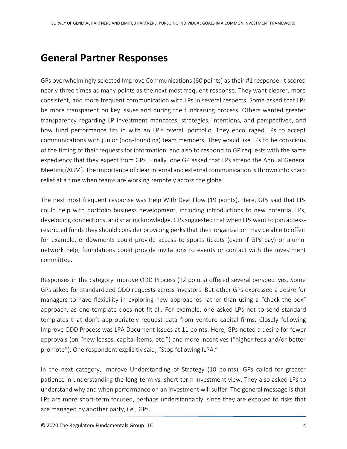# **General Partner Responses**

GPs overwhelmingly selected Improve Communications (60 points) as their #1 response: it scored nearly three times as many points as the next most frequent response. They want clearer, more consistent, and more frequent communication with LPs in several respects. Some asked that LPs be more transparent on key issues and during the fundraising process. Others wanted greater transparency regarding LP investment mandates, strategies, intentions, and perspectives, and how fund performance fits in with an LP's overall portfolio. They encouraged LPs to accept communications with junior (non-founding) team members. They would like LPs to be conscious of the timing of their requests for information, and also to respond to GP requests with the same expediency that they expect from GPs. Finally, one GP asked that LPs attend the Annual General Meeting (AGM). The importance of clear internal and external communication is thrown into sharp relief at a time when teams are working remotely across the globe.

The next most frequent response was Help With Deal Flow (19 points). Here, GPs said that LPs could help with portfolio business development, including introductions to new potential LPs, developing connections, and sharing knowledge. GPs suggested that when LPs want to join accessrestricted funds they should consider providing perks that their organization may be able to offer: for example, endowments could provide access to sports tickets (even if GPs pay) or alumni network help; foundations could provide invitations to events or contact with the investment committee.

Responses in the category Improve ODD Process (12 points) offered several perspectives. Some GPs asked for standardized ODD requests across investors. But other GPs expressed a desire for managers to have flexibility in exploring new approaches rather than using a "check-the-box" approach, as one template does not fit all. For example, one asked LPs not to send standard templates that don't appropriately request data from venture capital firms. Closely following Improve ODD Process was LPA Document Issues at 11 points. Here, GPs noted a desire for fewer approvals (on "new leases, capital items, etc.") and more incentives ("higher fees and/or better promote"). One respondent explicitly said, "Stop following ILPA."

In the next category, Improve Understanding of Strategy (10 points), GPs called for greater patience in understanding the long-term vs. short-term investment view. They also asked LPs to understand why and when performance on an investment will suffer. The general message is that LPs are more short-term focused, perhaps understandably, since they are exposed to risks that are managed by another party, i.e., GPs.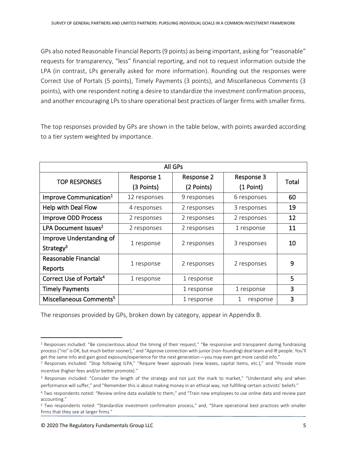GPs also noted Reasonable Financial Reports (9 points) as being important, asking for "reasonable" requests for transparency, "less" financial reporting, and not to request information outside the LPA (in contrast, LPs generally asked for more information). Rounding out the responses were Correct Use of Portals (5 points), Timely Payments (3 points), and Miscellaneous Comments (3 points), with one respondent noting a desire to standardize the investment confirmation process, and another encouraging LPs to share operational best practices of larger firms with smaller firms.

The top responses provided by GPs are shown in the table below, with points awarded according to a tier system weighted by importance.

| All GPs                             |              |                          |             |       |  |  |  |  |
|-------------------------------------|--------------|--------------------------|-------------|-------|--|--|--|--|
| <b>TOP RESPONSES</b>                | Response 1   | Response 3<br>Response 2 |             | Total |  |  |  |  |
|                                     | (3 Points)   | (2 Points)               | (1 Point)   |       |  |  |  |  |
| Improve Communication <sup>1</sup>  | 12 responses | 9 responses              | 6 responses | 60    |  |  |  |  |
| Help with Deal Flow                 | 4 responses  | 2 responses              | 3 responses | 19    |  |  |  |  |
| <b>Improve ODD Process</b>          | 2 responses  | 2 responses              | 2 responses | 12    |  |  |  |  |
| LPA Document Issues <sup>2</sup>    | 2 responses  | 2 responses              | 1 response  | 11    |  |  |  |  |
| Improve Understanding of            | 1 response   | 2 responses              | 3 responses | 10    |  |  |  |  |
| Strategy <sup>3</sup>               |              |                          |             |       |  |  |  |  |
| Reasonable Financial                | 1 response   | 2 responses              | 2 responses | 9     |  |  |  |  |
| Reports                             |              |                          |             |       |  |  |  |  |
| Correct Use of Portals <sup>4</sup> | 1 response   | 1 response               |             | 5     |  |  |  |  |
| <b>Timely Payments</b>              |              | 1 response               | 1 response  | 3     |  |  |  |  |
| Miscellaneous Comments <sup>5</sup> |              | 1 response               | response    | 3     |  |  |  |  |

The responses provided by GPs, broken down by category, appear in Appendix B.

 $1$  Responses included: "Be conscientious about the timing of their request," "Be responsive and transparent during fundraising process ("no" is OK, but much better sooner)," and "Approve connection with junior (non-founding) deal team and IR people. You'll get the same info and gain good exposure/experience for the next generation—you may even get more candid info."

<sup>&</sup>lt;sup>2</sup> Responses included: "Stop following ILPA," "Require fewer approvals (new leases, capital items, etc.)," and "Provide more incentive (higher fees and/or better promote)."

<sup>&</sup>lt;sup>3</sup> Responses included: "Consider the length of the strategy and not just the mark to market," "Understand why and when performance will suffer," and "Remember this is about making money in an ethical way, not fulfilling certain activists' beliefs."

<sup>4</sup> Two respondents noted: "Review online data available to them," and "Train new employees to use online data and review past accounting."

<sup>5</sup> Two respondents noted: "Standardize investment confirmation process," and, "Share operational best practices with smaller firms that they see at larger firms."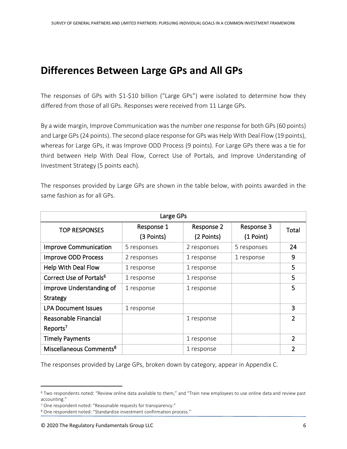# **Differences Between Large GPs and All GPs**

The responses of GPs with \$1-\$10 billion ("Large GPs") were isolated to determine how they differed from those of all GPs. Responses were received from 11 Large GPs.

By a wide margin, Improve Communication was the number one response for both GPs (60 points) and Large GPs (24 points). The second-place response for GPs was Help With Deal Flow (19 points), whereas for Large GPs, it was Improve ODD Process (9 points). For Large GPs there was a tie for third between Help With Deal Flow, Correct Use of Portals, and Improve Understanding of Investment Strategy (5 points each).

The responses provided by Large GPs are shown in the table below, with points awarded in the same fashion as for all GPs.

| Large GPs                           |                          |                          |                           |               |  |  |  |
|-------------------------------------|--------------------------|--------------------------|---------------------------|---------------|--|--|--|
| <b>TOP RESPONSES</b>                | Response 1<br>(3 Points) | Response 2<br>(2 Points) | Response 3<br>$(1$ Point) | Total         |  |  |  |
| <b>Improve Communication</b>        | 5 responses              | 2 responses              | 5 responses               | 24            |  |  |  |
| <b>Improve ODD Process</b>          | 2 responses              | 1 response               | 1 response                | 9             |  |  |  |
| <b>Help With Deal Flow</b>          | 1 response               | 1 response               |                           | 5             |  |  |  |
| Correct Use of Portals <sup>6</sup> | 1 response               | 1 response               |                           | 5             |  |  |  |
| Improve Understanding of            | 1 response               | 1 response               |                           | 5             |  |  |  |
| Strategy                            |                          |                          |                           |               |  |  |  |
| <b>LPA Document Issues</b>          | 1 response               |                          |                           | 3             |  |  |  |
| Reasonable Financial                |                          | 1 response               |                           | $\mathfrak z$ |  |  |  |
| Reports <sup>7</sup>                |                          |                          |                           |               |  |  |  |
| <b>Timely Payments</b>              |                          | 1 response               |                           | $\mathcal{P}$ |  |  |  |
| Miscellaneous Comments <sup>8</sup> |                          | 1 response               |                           | 2             |  |  |  |

The responses provided by Large GPs, broken down by category, appear in Appendix C.

<sup>6</sup> Two respondents noted: "Review online data available to them," and "Train new employees to use online data and review past accounting."

<sup>7</sup> One respondent noted: "Reasonable requests for transparency."

<sup>8</sup> One respondent noted: "Standardize investment confirmation process."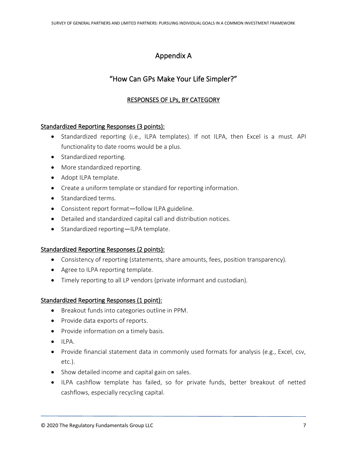# Appendix A

# "How Can GPs Make Your Life Simpler?"

# RESPONSES OF LPs, BY CATEGORY

# Standardized Reporting Responses (3 points):

- Standardized reporting (i.e., ILPA templates). If not ILPA, then Excel is a must. API functionality to date rooms would be a plus.
- Standardized reporting.
- More standardized reporting.
- Adopt ILPA template.
- Create a uniform template or standard for reporting information.
- Standardized terms.
- Consistent report format—follow ILPA guideline.
- Detailed and standardized capital call and distribution notices.
- Standardized reporting—ILPA template.

# Standardized Reporting Responses (2 points):

- Consistency of reporting (statements, share amounts, fees, position transparency).
- Agree to ILPA reporting template.
- Timely reporting to all LP vendors (private informant and custodian).

# Standardized Reporting Responses (1 point):

- Breakout funds into categories outline in PPM.
- Provide data exports of reports.
- Provide information on a timely basis.
- ILPA.
- Provide financial statement data in commonly used formats for analysis (e.g., Excel, csv, etc.).
- Show detailed income and capital gain on sales.
- ILPA cashflow template has failed, so for private funds, better breakout of netted cashflows, especially recycling capital.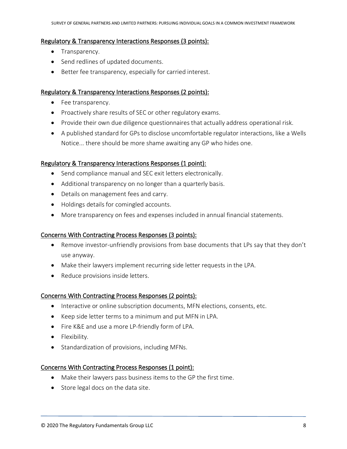## Regulatory & Transparency Interactions Responses (3 points):

- Transparency.
- Send redlines of updated documents.
- Better fee transparency, especially for carried interest.

# Regulatory & Transparency Interactions Responses (2 points):

- Fee transparency.
- Proactively share results of SEC or other regulatory exams.
- Provide their own due diligence questionnaires that actually address operational risk.
- A published standard for GPs to disclose uncomfortable regulator interactions, like a Wells Notice... there should be more shame awaiting any GP who hides one.

# Regulatory & Transparency Interactions Responses (1 point):

- Send compliance manual and SEC exit letters electronically.
- Additional transparency on no longer than a quarterly basis.
- Details on management fees and carry.
- Holdings details for comingled accounts.
- More transparency on fees and expenses included in annual financial statements.

# Concerns With Contracting Process Responses (3 points):

- Remove investor-unfriendly provisions from base documents that LPs say that they don't use anyway.
- Make their lawyers implement recurring side letter requests in the LPA.
- Reduce provisions inside letters.

# Concerns With Contracting Process Responses (2 points):

- Interactive or online subscription documents, MFN elections, consents, etc.
- Keep side letter terms to a minimum and put MFN in LPA.
- Fire K&E and use a more LP-friendly form of LPA.
- Flexibility.
- Standardization of provisions, including MFNs.

# Concerns With Contracting Process Responses (1 point):

- Make their lawyers pass business items to the GP the first time.
- Store legal docs on the data site.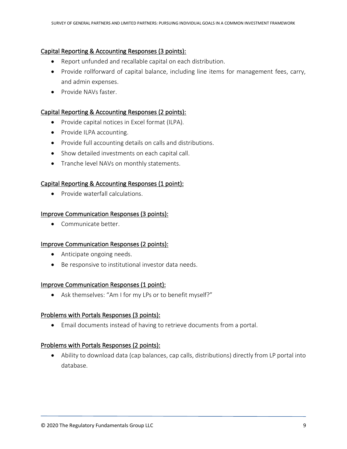# Capital Reporting & Accounting Responses (3 points):

- Report unfunded and recallable capital on each distribution.
- Provide rollforward of capital balance, including line items for management fees, carry, and admin expenses.
- Provide NAVs faster

# Capital Reporting & Accounting Responses (2 points):

- Provide capital notices in Excel format (ILPA).
- Provide ILPA accounting.
- Provide full accounting details on calls and distributions.
- Show detailed investments on each capital call.
- Tranche level NAVs on monthly statements.

# Capital Reporting & Accounting Responses (1 point):

• Provide waterfall calculations.

# Improve Communication Responses (3 points):

• Communicate better.

# Improve Communication Responses (2 points):

- Anticipate ongoing needs.
- Be responsive to institutional investor data needs.

# Improve Communication Responses (1 point):

• Ask themselves: "Am I for my LPs or to benefit myself?"

# Problems with Portals Responses (3 points):

• Email documents instead of having to retrieve documents from a portal.

# Problems with Portals Responses (2 points):

• Ability to download data (cap balances, cap calls, distributions) directly from LP portal into database.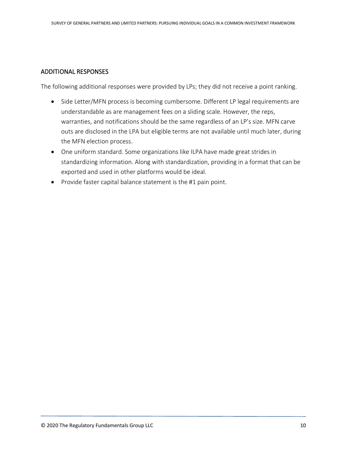# ADDITIONAL RESPONSES

The following additional responses were provided by LPs; they did not receive a point ranking.

- Side Letter/MFN process is becoming cumbersome. Different LP legal requirements are understandable as are management fees on a sliding scale. However, the reps, warranties, and notifications should be the same regardless of an LP's size. MFN carve outs are disclosed in the LPA but eligible terms are not available until much later, during the MFN election process.
- One uniform standard. Some organizations like ILPA have made great strides in standardizing information. Along with standardization, providing in a format that can be exported and used in other platforms would be ideal.
- Provide faster capital balance statement is the #1 pain point.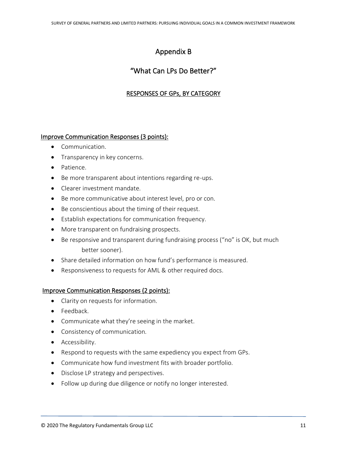# Appendix B

# "What Can LPs Do Better?"

# RESPONSES OF GPs, BY CATEGORY

# Improve Communication Responses (3 points):

- Communication.
- Transparency in key concerns.
- Patience.
- Be more transparent about intentions regarding re-ups.
- Clearer investment mandate.
- Be more communicative about interest level, pro or con.
- Be conscientious about the timing of their request.
- Establish expectations for communication frequency.
- More transparent on fundraising prospects.
- Be responsive and transparent during fundraising process ("no" is OK, but much better sooner).
- Share detailed information on how fund's performance is measured.
- Responsiveness to requests for AML & other required docs.

# Improve Communication Responses (2 points):

- Clarity on requests for information.
- Feedback.
- Communicate what they're seeing in the market.
- Consistency of communication.
- Accessibility.
- Respond to requests with the same expediency you expect from GPs.
- Communicate how fund investment fits with broader portfolio.
- Disclose LP strategy and perspectives.
- Follow up during due diligence or notify no longer interested.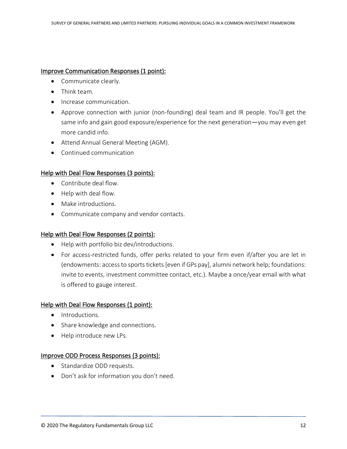## Improve Communication Responses (1 point):

- Communicate clearly.
- Think team.
- Increase communication.
- Approve connection with junior (non-founding) deal team and IR people. You'll get the same info and gain good exposure/experience for the next generation—you may even get more candid info.
- Attend Annual General Meeting (AGM).
- Continued communication

# Help with Deal Flow Responses (3 points):

- Contribute deal flow.
- Help with deal flow.
- Make introductions.
- Communicate company and vendor contacts.

# Help with Deal Flow Responses (2 points):

- Help with portfolio biz dev/introductions.
- For access-restricted funds, offer perks related to your firm even if/after you are let in (endowments: access to sports tickets [even if GPs pay], alumni network help; foundations: invite to events, investment committee contact, etc.). Maybe a once/year email with what is offered to gauge interest.

# Help with Deal Flow Responses (1 point):

- Introductions.
- Share knowledge and connections.
- Help introduce new LPs.

# Improve ODD Process Responses (3 points):

- Standardize ODD requests.
- Don't ask for information you don't need.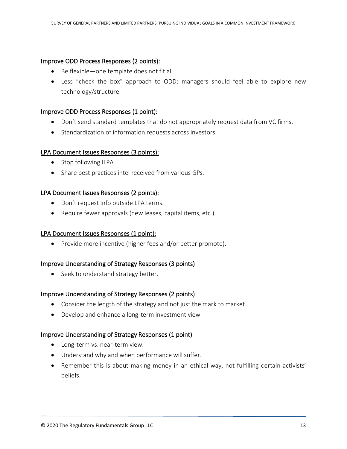# Improve ODD Process Responses (2 points):

- Be flexible—one template does not fit all.
- Less "check the box" approach to ODD: managers should feel able to explore new technology/structure.

# Improve ODD Process Responses (1 point):

- Don't send standard templates that do not appropriately request data from VC firms.
- Standardization of information requests across investors.

# LPA Document Issues Responses (3 points):

- Stop following ILPA.
- Share best practices intel received from various GPs.

# LPA Document Issues Responses (2 points):

- Don't request info outside LPA terms.
- Require fewer approvals (new leases, capital items, etc.).

# LPA Document Issues Responses (1 point):

• Provide more incentive (higher fees and/or better promote).

# Improve Understanding of Strategy Responses (3 points)

• Seek to understand strategy better.

# Improve Understanding of Strategy Responses (2 points)

- Consider the length of the strategy and not just the mark to market.
- Develop and enhance a long-term investment view.

# Improve Understanding of Strategy Responses (1 point)

- Long-term vs. near-term view.
- Understand why and when performance will suffer.
- Remember this is about making money in an ethical way, not fulfilling certain activists' beliefs.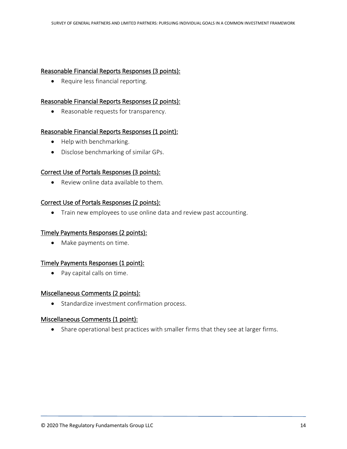## Reasonable Financial Reports Responses (3 points):

• Require less financial reporting.

#### Reasonable Financial Reports Responses (2 points):

• Reasonable requests for transparency.

#### Reasonable Financial Reports Responses (1 point):

- Help with benchmarking.
- Disclose benchmarking of similar GPs.

#### Correct Use of Portals Responses (3 points):

• Review online data available to them.

#### Correct Use of Portals Responses (2 points):

• Train new employees to use online data and review past accounting.

# Timely Payments Responses (2 points):

• Make payments on time.

# Timely Payments Responses (1 point):

• Pay capital calls on time.

#### Miscellaneous Comments (2 points):

• Standardize investment confirmation process.

#### Miscellaneous Comments (1 point):

• Share operational best practices with smaller firms that they see at larger firms.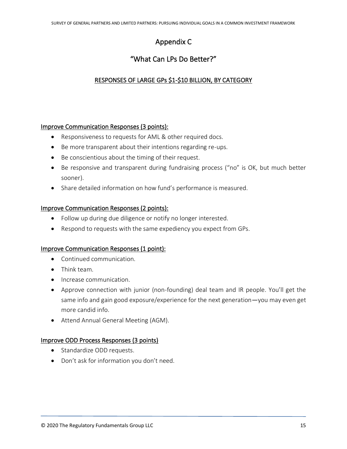# Appendix C

# "What Can LPs Do Better?"

# RESPONSES OF LARGE GPs \$1-\$10 BILLION, BY CATEGORY

# Improve Communication Responses (3 points):

- Responsiveness to requests for AML & other required docs.
- Be more transparent about their intentions regarding re-ups.
- Be conscientious about the timing of their request.
- Be responsive and transparent during fundraising process ("no" is OK, but much better sooner).
- Share detailed information on how fund's performance is measured.

# Improve Communication Responses (2 points):

- Follow up during due diligence or notify no longer interested.
- Respond to requests with the same expediency you expect from GPs.

# Improve Communication Responses (1 point):

- Continued communication.
- Think team.
- Increase communication.
- Approve connection with junior (non-founding) deal team and IR people. You'll get the same info and gain good exposure/experience for the next generation—you may even get more candid info.
- Attend Annual General Meeting (AGM).

# Improve ODD Process Responses (3 points)

- Standardize ODD requests.
- Don't ask for information you don't need.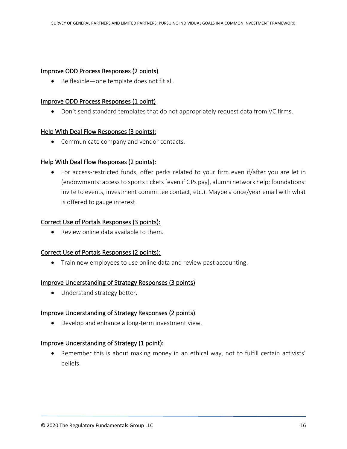#### Improve ODD Process Responses (2 points)

• Be flexible—one template does not fit all.

#### Improve ODD Process Responses (1 point)

• Don't send standard templates that do not appropriately request data from VC firms.

#### Help With Deal Flow Responses (3 points):

• Communicate company and vendor contacts.

# Help With Deal Flow Responses (2 points):

• For access-restricted funds, offer perks related to your firm even if/after you are let in (endowments: access to sports tickets [even if GPs pay], alumni network help; foundations: invite to events, investment committee contact, etc.). Maybe a once/year email with what is offered to gauge interest.

# Correct Use of Portals Responses (3 points):

• Review online data available to them.

# Correct Use of Portals Responses (2 points):

• Train new employees to use online data and review past accounting.

#### Improve Understanding of Strategy Responses (3 points)

• Understand strategy better.

# Improve Understanding of Strategy Responses (2 points)

• Develop and enhance a long-term investment view.

# Improve Understanding of Strategy (1 point):

• Remember this is about making money in an ethical way, not to fulfill certain activists' beliefs.